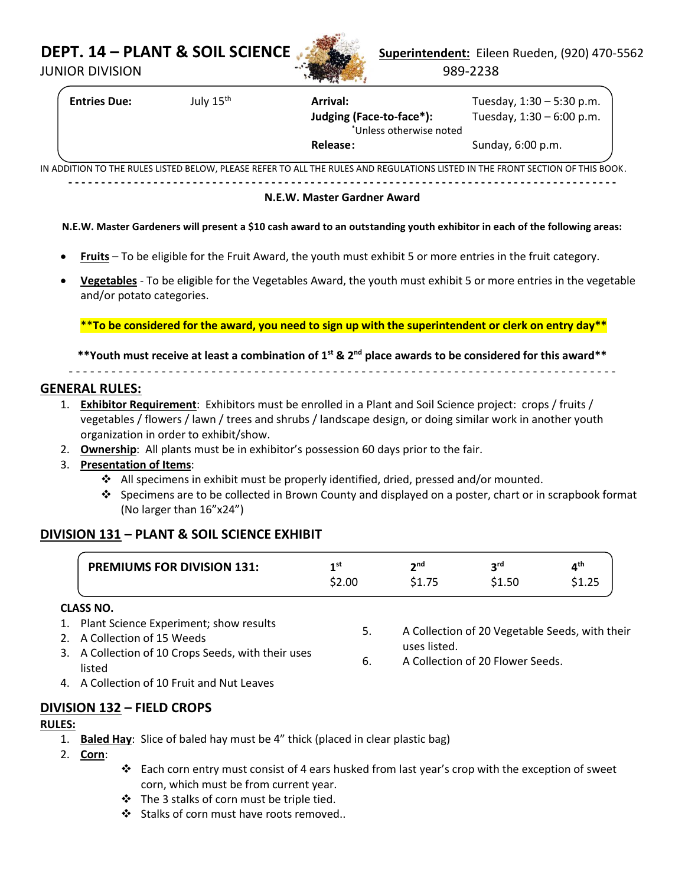

**DEPT. 14 – PLANT & SOIL SCIENCE Superintendent:** Eileen Rueden, (920) 470-5562 JUNIOR DIVISION 989-2238

**Entries Due:** July 15th **Arrival:** Tuesday, 1:30 – 5:30 p.m. **Judging (Face-to-face\*):** Tuesday, 1:30 – 6:00 p.m. \*Unless otherwise noted

**- - - - - - - - - - - - - - - - - - - - - - - - - - - - - - - - - - - - - - - - - - - - - - - - - - - - - - - - - - - - - - - - - - - - - - - - - - - - - - - - - - - -**

**Release:** Sunday, 6:00 p.m.

IN ADDITION TO THE RULES LISTED BELOW, PLEASE REFER TO ALL THE RULES AND REGULATIONS LISTED IN THE FRONT SECTION OF THIS BOOK.

#### **N.E.W. Master Gardner Award**

#### **N.E.W. Master Gardeners will present a \$10 cash award to an outstanding youth exhibitor in each of the following areas:**

- **Fruits** To be eligible for the Fruit Award, the youth must exhibit 5 or more entries in the fruit category.
- **Vegetables** To be eligible for the Vegetables Award, the youth must exhibit 5 or more entries in the vegetable and/or potato categories.

\*\***To be considered for the award, you need to sign up with the superintendent or clerk on entry day\*\***

**\*\*Youth must receive at least a combination of 1st & 2 nd place awards to be considered for this award\*\***

- - - - - - - - - - - - - - - - - - - - - - - - - - - - - - - - - - - - - - - - - - - - - - - - - - - - - - - - - - - - - - - - - - - - - - - - - - - - -

### **GENERAL RULES:**

- 1. **Exhibitor Requirement**: Exhibitors must be enrolled in a Plant and Soil Science project: crops / fruits / vegetables / flowers / lawn / trees and shrubs / landscape design, or doing similar work in another youth organization in order to exhibit/show.
- 2. **Ownership**: All plants must be in exhibitor's possession 60 days prior to the fair.
- 3. **Presentation of Items**:
	- ❖ All specimens in exhibit must be properly identified, dried, pressed and/or mounted.
	- ❖ Specimens are to be collected in Brown County and displayed on a poster, chart or in scrapbook format (No larger than 16"x24")

## **DIVISION 131 – PLANT & SOIL SCIENCE EXHIBIT**

| <b>PREMIUMS FOR DIVISION 131:</b> | 1 st   | ን nd | ord    |   |
|-----------------------------------|--------|------|--------|---|
|                                   | \$2.00 |      | \$1.50 | . |

#### **CLASS NO.**

- 1. Plant Science Experiment; show results
- 2. A Collection of 15 Weeds
- 3. A Collection of 10 Crops Seeds, with their uses listed
- 4. A Collection of 10 Fruit and Nut Leaves

## **DIVISION 132 – FIELD CROPS**

#### **RULES:**

- 1. **Baled Hay**: Slice of baled hay must be 4" thick (placed in clear plastic bag)
- 2. **Corn**:
- ❖ Each corn entry must consist of 4 ears husked from last year's crop with the exception of sweet corn, which must be from current year.
- ❖ The 3 stalks of corn must be triple tied.
- ❖ Stalks of corn must have roots removed..
- 5. A Collection of 20 Vegetable Seeds, with their uses listed.
- 6. A Collection of 20 Flower Seeds.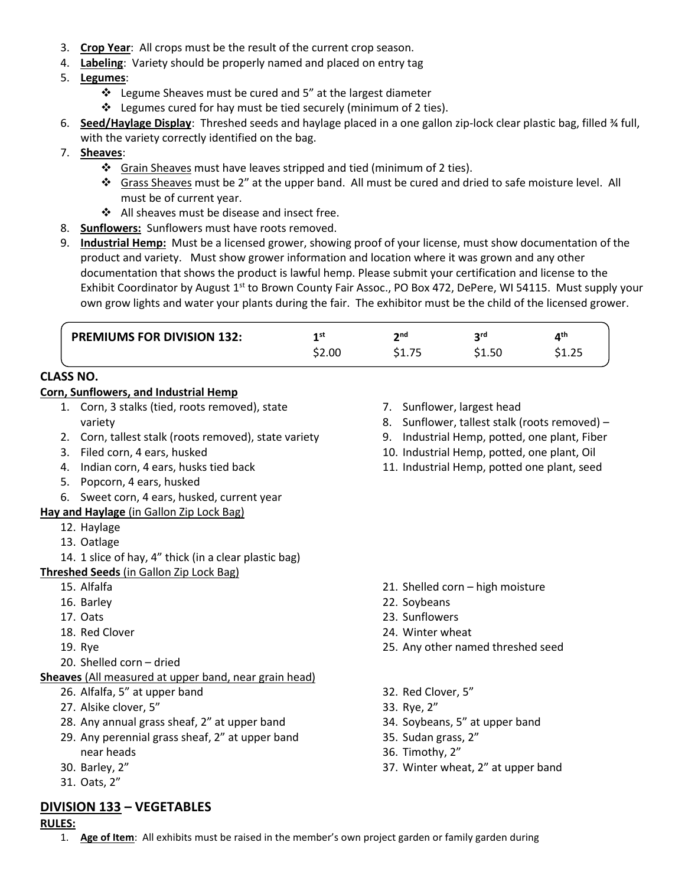- 3. **Crop Year**: All crops must be the result of the current crop season.
- 4. **Labeling**: Variety should be properly named and placed on entry tag
- 5. **Legumes**:
	- ❖ Legume Sheaves must be cured and 5" at the largest diameter
	- ❖ Legumes cured for hay must be tied securely (minimum of 2 ties).
- 6. **Seed/Haylage Display**: Threshed seeds and haylage placed in a one gallon zip-lock clear plastic bag, filled ¾ full, with the variety correctly identified on the bag.
- 7. **Sheaves**:
	- ❖ Grain Sheaves must have leaves stripped and tied (minimum of 2 ties).
	- ❖ Grass Sheaves must be 2" at the upper band. All must be cured and dried to safe moisture level. All must be of current year.
	- ❖ All sheaves must be disease and insect free.
- 8. **Sunflowers:** Sunflowers must have roots removed.
- 9. **Industrial Hemp:** Must be a licensed grower, showing proof of your license, must show documentation of the product and variety. Must show grower information and location where it was grown and any other documentation that shows the product is lawful hemp. Please submit your certification and license to the Exhibit Coordinator by August 1<sup>st</sup> to Brown County Fair Assoc., PO Box 472, DePere, WI 54115. Must supply your own grow lights and water your plants during the fair. The exhibitor must be the child of the licensed grower.

| <b>PREMIUMS FOR DIVISION 132:</b> | 1 ST<br>\$2.00 | າກd<br>\$1.75 | ord<br>\$1.50 | a th<br>ぐィ つに<br>ت∠.⊥د |
|-----------------------------------|----------------|---------------|---------------|------------------------|
|                                   |                |               |               |                        |

# **CLASS NO.**

#### **Corn, Sunflowers, and Industrial Hemp**

- 1. Corn, 3 stalks (tied, roots removed), state variety
- 2. Corn, tallest stalk (roots removed), state variety
- 3. Filed corn, 4 ears, husked
- 4. Indian corn, 4 ears, husks tied back
- 5. Popcorn, 4 ears, husked
- 6. Sweet corn, 4 ears, husked, current year

#### **Hay and Haylage** (in Gallon Zip Lock Bag)

- 12. Haylage
- 13. Oatlage
- 14. 1 slice of hay, 4" thick (in a clear plastic bag)

#### **Threshed Seeds** (in Gallon Zip Lock Bag)

- 15. Alfalfa
- 16. Barley
- 17. Oats
- 18. Red Clover
- 19. Rye
- 20. Shelled corn dried
- **Sheaves** (All measured at upper band, near grain head)
	- 26. Alfalfa, 5" at upper band
	- 27. Alsike clover, 5"
	- 28. Any annual grass sheaf, 2" at upper band
	- 29. Any perennial grass sheaf, 2" at upper band near heads
	- 30. Barley, 2"
	- 31. Oats, 2"

## **DIVISION 133 – VEGETABLES**

#### **RULES:**

- 7. Sunflower, largest head
- 8. Sunflower, tallest stalk (roots removed) –
- 9. Industrial Hemp, potted, one plant, Fiber
- 10. Industrial Hemp, potted, one plant, Oil
- 11. Industrial Hemp, potted one plant, seed

- 21. Shelled corn high moisture
- 22. Soybeans
- 23. Sunflowers
- 24. Winter wheat
- 25. Any other named threshed seed
- 32. Red Clover, 5"
- 33. Rye, 2"
- 34. Soybeans, 5" at upper band
- 35. Sudan grass, 2"
- 36. Timothy, 2"
- 37. Winter wheat, 2" at upper band
- 1. **Age of Item**: All exhibits must be raised in the member's own project garden or family garden during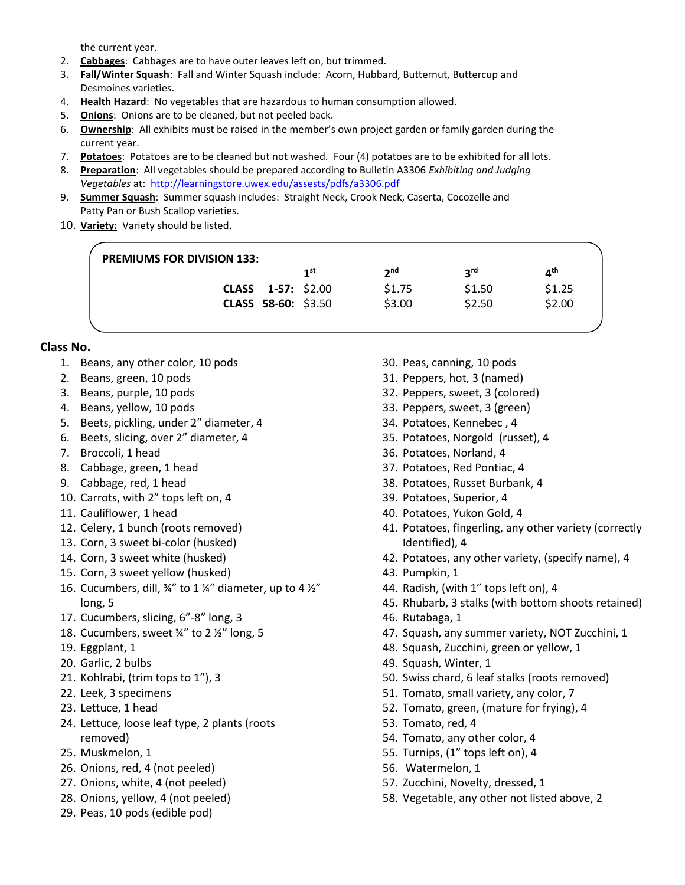the current year.

- 2. **Cabbages**: Cabbages are to have outer leaves left on, but trimmed.
- 3. **Fall/Winter Squash**: Fall and Winter Squash include: Acorn, Hubbard, Butternut, Buttercup and Desmoines varieties.
- 4. **Health Hazard**: No vegetables that are hazardous to human consumption allowed.
- 5. **Onions**: Onions are to be cleaned, but not peeled back.
- 6. **Ownership**: All exhibits must be raised in the member's own project garden or family garden during the current year.
- 7. **Potatoes**: Potatoes are to be cleaned but not washed. Four (4) potatoes are to be exhibited for all lots.
- 8. **Preparation**: All vegetables should be prepared according to Bulletin A3306 *Exhibiting and Judging Vegetables* at:<http://learningstore.uwex.edu/assests/pdfs/a3306.pdf>
- 9. **Summer Squash**: Summer squash includes: Straight Neck, Crook Neck, Caserta, Cocozelle and Patty Pan or Bush Scallop varieties.
- 10. **Variety:** Variety should be listed.

| <b>PREMIUMS FOR DIVISION 133:</b> |                           |                 |                 |             |        |  |  |  |
|-----------------------------------|---------------------------|-----------------|-----------------|-------------|--------|--|--|--|
|                                   |                           | 1 <sup>st</sup> | 2 <sub>nd</sub> | <b>S</b> rq | ⊿th    |  |  |  |
|                                   | <b>CLASS</b> 1-57: \$2.00 |                 | \$1.75          | \$1.50      | \$1.25 |  |  |  |
|                                   | CLASS 58-60: \$3.50       |                 | \$3.00          | \$2.50      | \$2.00 |  |  |  |
|                                   |                           |                 |                 |             |        |  |  |  |

#### **Class No.**

- 1. Beans, any other color, 10 pods
- 2. Beans, green, 10 pods
- 3. Beans, purple, 10 pods
- 4. Beans, yellow, 10 pods
- 5. Beets, pickling, under 2" diameter, 4
- 6. Beets, slicing, over 2" diameter, 4
- 7. Broccoli, 1 head
- 8. Cabbage, green, 1 head
- 9. Cabbage, red, 1 head
- 10. Carrots, with 2" tops left on, 4
- 11. Cauliflower, 1 head
- 12. Celery, 1 bunch (roots removed)
- 13. Corn, 3 sweet bi-color (husked)
- 14. Corn, 3 sweet white (husked)
- 15. Corn, 3 sweet yellow (husked)
- 16. Cucumbers, dill,  $\frac{3}{4}$ " to 1  $\frac{1}{4}$ " diameter, up to 4  $\frac{1}{2}$ " long, 5
- 17. Cucumbers, slicing, 6"-8" long, 3
- 18. Cucumbers, sweet ¾" to 2 ½" long, 5
- 19. Eggplant, 1
- 20. Garlic, 2 bulbs
- 21. Kohlrabi, (trim tops to 1"), 3
- 22. Leek, 3 specimens
- 23. Lettuce, 1 head
- 24. Lettuce, loose leaf type, 2 plants (roots removed)
- 25. Muskmelon, 1
- 26. Onions, red, 4 (not peeled)
- 27. Onions, white, 4 (not peeled)
- 28. Onions, yellow, 4 (not peeled)
- 29. Peas, 10 pods (edible pod)
- 30. Peas, canning, 10 pods
- 31. Peppers, hot, 3 (named)
- 32. Peppers, sweet, 3 (colored)
- 33. Peppers, sweet, 3 (green)
- 34. Potatoes, Kennebec , 4
- 35. Potatoes, Norgold (russet), 4
- 36. Potatoes, Norland, 4
- 37. Potatoes, Red Pontiac, 4
- 38. Potatoes, Russet Burbank, 4
- 39. Potatoes, Superior, 4
- 40. Potatoes, Yukon Gold, 4
- 41. Potatoes, fingerling, any other variety (correctly Identified), 4
- 42. Potatoes, any other variety, (specify name), 4
- 43. Pumpkin, 1
- 44. Radish, (with 1" tops left on), 4
- 45. Rhubarb, 3 stalks (with bottom shoots retained)
- 46. Rutabaga, 1
- 47. Squash, any summer variety, NOT Zucchini, 1
- 48. Squash, Zucchini, green or yellow, 1
- 49. Squash, Winter, 1
- 50. Swiss chard, 6 leaf stalks (roots removed)
- 51. Tomato, small variety, any color, 7
- 52. Tomato, green, (mature for frying), 4
- 53. Tomato, red, 4
- 54. Tomato, any other color, 4
- 55. Turnips, (1" tops left on), 4
- 56. Watermelon, 1
- 57. Zucchini, Novelty, dressed, 1
- 58. Vegetable, any other not listed above, 2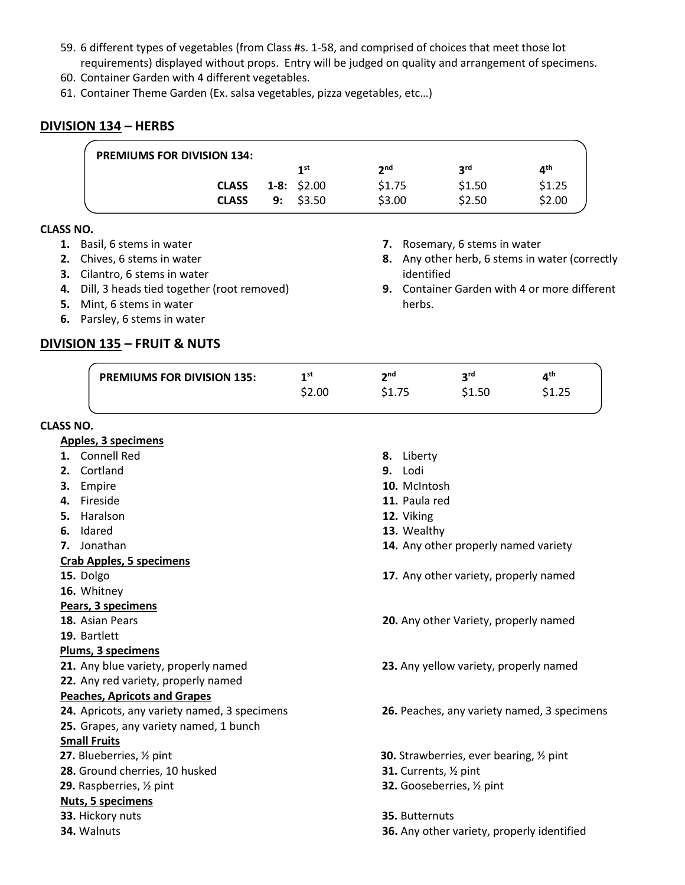- 59. 6 different types of vegetables (from Class #s. 1-58, and comprised of choices that meet those lot requirements) displayed without props. Entry will be judged on quality and arrangement of specimens.
- 60. Container Garden with 4 different vegetables.
- 61. Container Theme Garden (Ex. salsa vegetables, pizza vegetables, etc…)

## **DIVISION 134 – HERBS**

| <b>PREMIUMS FOR DIVISION 134:</b> |                 |             |            |                 |
|-----------------------------------|-----------------|-------------|------------|-----------------|
|                                   | 1 <sup>st</sup> | <b>o</b> nd | <b>2rd</b> | ⊿ <sup>th</sup> |
| <b>CLASS</b>                      | $1-8: $2.00$    | \$1.75      | \$1.50     | \$1.25          |
| <b>CLASS</b>                      | $9:$ \$3.50     | \$3.00      | \$2.50     | \$2.00          |

**7.** Rosemary, 6 stems in water

identified

herbs.

**8.** Any other herb, 6 stems in water (correctly

**9.** Container Garden with 4 or more different

#### **CLASS NO.**

- **1.** Basil, 6 stems in water
- **2.** Chives, 6 stems in water
- **3.** Cilantro, 6 stems in water
- **4.** Dill, 3 heads tied together (root removed)
- **5.** Mint, 6 stems in water
- **6.** Parsley, 6 stems in water

## **DIVISION 135 – FRUIT & NUTS**

|                  | <b>PREMIUMS FOR DIVISION 135:</b>            | 1 <sup>st</sup> | 2 <sub>nd</sub>        | 3 <sup>rd</sup>                                 | 4 <sup>th</sup>                             |
|------------------|----------------------------------------------|-----------------|------------------------|-------------------------------------------------|---------------------------------------------|
|                  |                                              | \$2.00          | \$1.75                 | \$1.50                                          | \$1.25                                      |
| <b>CLASS NO.</b> |                                              |                 |                        |                                                 |                                             |
|                  | <b>Apples, 3 specimens</b>                   |                 |                        |                                                 |                                             |
|                  | 1. Connell Red                               |                 | 8. Liberty             |                                                 |                                             |
|                  | 2. Cortland                                  |                 | 9. Lodi                |                                                 |                                             |
|                  | 3. Empire                                    |                 | 10. McIntosh           |                                                 |                                             |
|                  | 4. Fireside                                  |                 | 11. Paula red          |                                                 |                                             |
| 5.               | Haralson                                     |                 | 12. Viking             |                                                 |                                             |
|                  | 6. Idared                                    |                 | 13. Wealthy            |                                                 |                                             |
|                  | 7. Jonathan                                  |                 |                        | 14. Any other properly named variety            |                                             |
|                  | <b>Crab Apples, 5 specimens</b>              |                 |                        |                                                 |                                             |
|                  | 15. Dolgo                                    |                 |                        | 17. Any other variety, properly named           |                                             |
|                  | 16. Whitney                                  |                 |                        |                                                 |                                             |
|                  | Pears, 3 specimens                           |                 |                        |                                                 |                                             |
|                  | 18. Asian Pears                              |                 |                        | 20. Any other Variety, properly named           |                                             |
|                  | 19. Bartlett                                 |                 |                        |                                                 |                                             |
|                  | <b>Plums, 3 specimens</b>                    |                 |                        |                                                 |                                             |
|                  | 21. Any blue variety, properly named         |                 |                        | 23. Any yellow variety, properly named          |                                             |
|                  | 22. Any red variety, properly named          |                 |                        |                                                 |                                             |
|                  | <b>Peaches, Apricots and Grapes</b>          |                 |                        |                                                 |                                             |
|                  | 24. Apricots, any variety named, 3 specimens |                 |                        |                                                 | 26. Peaches, any variety named, 3 specimens |
|                  | 25. Grapes, any variety named, 1 bunch       |                 |                        |                                                 |                                             |
|                  | <b>Small Fruits</b>                          |                 |                        |                                                 |                                             |
|                  | 27. Blueberries, 1/2 pint                    |                 |                        | <b>30.</b> Strawberries, ever bearing, 1/2 pint |                                             |
|                  | 28. Ground cherries, 10 husked               |                 | 31. Currents, 1/2 pint |                                                 |                                             |
|                  | 29. Raspberries, 1/2 pint                    |                 |                        | 32. Gooseberries, 1/2 pint                      |                                             |
|                  | <b>Nuts, 5 specimens</b>                     |                 |                        |                                                 |                                             |
|                  | 33. Hickory nuts                             |                 | 35. Butternuts         |                                                 |                                             |
|                  | 34. Walnuts                                  |                 |                        | 36. Any other variety, properly identified      |                                             |
|                  |                                              |                 |                        |                                                 |                                             |